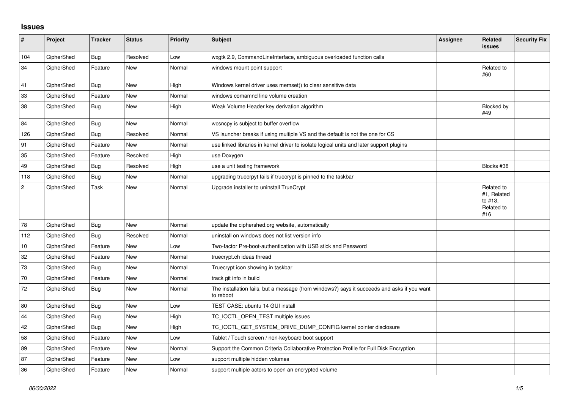## **Issues**

| #              | Project    | <b>Tracker</b> | <b>Status</b> | <b>Priority</b> | <b>Subject</b>                                                                                           | Assignee | <b>Related</b><br><b>issues</b>                           | <b>Security Fix</b> |
|----------------|------------|----------------|---------------|-----------------|----------------------------------------------------------------------------------------------------------|----------|-----------------------------------------------------------|---------------------|
| 104            | CipherShed | Bug            | Resolved      | Low             | wxgtk 2.9, CommandLineInterface, ambiguous overloaded function calls                                     |          |                                                           |                     |
| 34             | CipherShed | Feature        | New           | Normal          | windows mount point support                                                                              |          | Related to<br>#60                                         |                     |
| 41             | CipherShed | <b>Bug</b>     | New           | High            | Windows kernel driver uses memset() to clear sensitive data                                              |          |                                                           |                     |
| 33             | CipherShed | Feature        | <b>New</b>    | Normal          | windows comamnd line volume creation                                                                     |          |                                                           |                     |
| 38             | CipherShed | Bug            | New           | High            | Weak Volume Header key derivation algorithm                                                              |          | Blocked by<br>#49                                         |                     |
| 84             | CipherShed | <b>Bug</b>     | New           | Normal          | wcsncpy is subject to buffer overflow                                                                    |          |                                                           |                     |
| 126            | CipherShed | Bug            | Resolved      | Normal          | VS launcher breaks if using multiple VS and the default is not the one for CS                            |          |                                                           |                     |
| 91             | CipherShed | Feature        | <b>New</b>    | Normal          | use linked libraries in kernel driver to isolate logical units and later support plugins                 |          |                                                           |                     |
| 35             | CipherShed | Feature        | Resolved      | High            | use Doxygen                                                                                              |          |                                                           |                     |
| 49             | CipherShed | <b>Bug</b>     | Resolved      | High            | use a unit testing framework                                                                             |          | Blocks #38                                                |                     |
| 118            | CipherShed | <b>Bug</b>     | <b>New</b>    | Normal          | upgrading truecrpyt fails if truecrypt is pinned to the taskbar                                          |          |                                                           |                     |
| $\overline{c}$ | CipherShed | Task           | <b>New</b>    | Normal          | Upgrade installer to uninstall TrueCrypt                                                                 |          | Related to<br>#1, Related<br>to #13,<br>Related to<br>#16 |                     |
| 78             | CipherShed | Bug            | <b>New</b>    | Normal          | update the ciphershed.org website, automatically                                                         |          |                                                           |                     |
| 112            | CipherShed | <b>Bug</b>     | Resolved      | Normal          | uninstall on windows does not list version info                                                          |          |                                                           |                     |
| 10             | CipherShed | Feature        | <b>New</b>    | Low             | Two-factor Pre-boot-authentication with USB stick and Password                                           |          |                                                           |                     |
| 32             | CipherShed | Feature        | New           | Normal          | truecrypt.ch ideas thread                                                                                |          |                                                           |                     |
| 73             | CipherShed | <b>Bug</b>     | <b>New</b>    | Normal          | Truecrypt icon showing in taskbar                                                                        |          |                                                           |                     |
| 70             | CipherShed | Feature        | <b>New</b>    | Normal          | track git info in build                                                                                  |          |                                                           |                     |
| $72\,$         | CipherShed | <b>Bug</b>     | <b>New</b>    | Normal          | The installation fails, but a message (from windows?) says it succeeds and asks if you want<br>to reboot |          |                                                           |                     |
| 80             | CipherShed | <b>Bug</b>     | <b>New</b>    | Low             | TEST CASE: ubuntu 14 GUI install                                                                         |          |                                                           |                     |
| 44             | CipherShed | <b>Bug</b>     | <b>New</b>    | High            | TC_IOCTL_OPEN_TEST multiple issues                                                                       |          |                                                           |                     |
| 42             | CipherShed | <b>Bug</b>     | <b>New</b>    | High            | TC_IOCTL_GET_SYSTEM_DRIVE_DUMP_CONFIG kernel pointer disclosure                                          |          |                                                           |                     |
| 58             | CipherShed | Feature        | <b>New</b>    | Low             | Tablet / Touch screen / non-keyboard boot support                                                        |          |                                                           |                     |
| 89             | CipherShed | Feature        | New           | Normal          | Support the Common Criteria Collaborative Protection Profile for Full Disk Encryption                    |          |                                                           |                     |
| 87             | CipherShed | Feature        | New           | Low             | support multiple hidden volumes                                                                          |          |                                                           |                     |
| 36             | CipherShed | Feature        | New           | Normal          | support multiple actors to open an encrypted volume                                                      |          |                                                           |                     |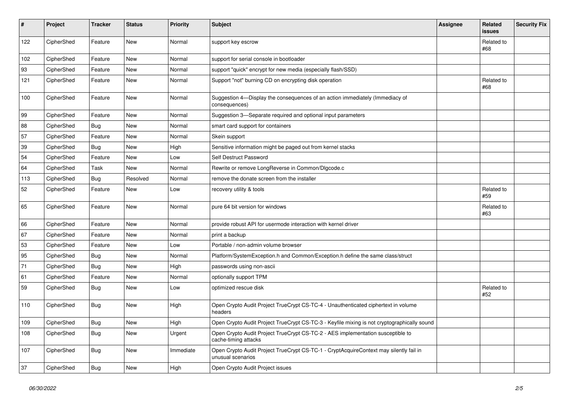| $\sharp$ | Project    | <b>Tracker</b> | <b>Status</b> | <b>Priority</b> | <b>Subject</b>                                                                                              | Assignee | Related<br><b>issues</b> | <b>Security Fix</b> |
|----------|------------|----------------|---------------|-----------------|-------------------------------------------------------------------------------------------------------------|----------|--------------------------|---------------------|
| 122      | CipherShed | Feature        | New           | Normal          | support key escrow                                                                                          |          | Related to<br>#68        |                     |
| 102      | CipherShed | Feature        | <b>New</b>    | Normal          | support for serial console in bootloader                                                                    |          |                          |                     |
| 93       | CipherShed | Feature        | New           | Normal          | support "quick" encrypt for new media (especially flash/SSD)                                                |          |                          |                     |
| 121      | CipherShed | Feature        | New           | Normal          | Support "not" burning CD on encrypting disk operation                                                       |          | Related to<br>#68        |                     |
| 100      | CipherShed | Feature        | New           | Normal          | Suggestion 4-Display the consequences of an action immediately (Immediacy of<br>consequences)               |          |                          |                     |
| 99       | CipherShed | Feature        | New           | Normal          | Suggestion 3-Separate required and optional input parameters                                                |          |                          |                     |
| 88       | CipherShed | <b>Bug</b>     | New           | Normal          | smart card support for containers                                                                           |          |                          |                     |
| 57       | CipherShed | Feature        | New           | Normal          | Skein support                                                                                               |          |                          |                     |
| 39       | CipherShed | <b>Bug</b>     | New           | High            | Sensitive information might be paged out from kernel stacks                                                 |          |                          |                     |
| 54       | CipherShed | Feature        | New           | Low             | Self Destruct Password                                                                                      |          |                          |                     |
| 64       | CipherShed | Task           | New           | Normal          | Rewrite or remove LongReverse in Common/DIgcode.c                                                           |          |                          |                     |
| 113      | CipherShed | Bug            | Resolved      | Normal          | remove the donate screen from the installer                                                                 |          |                          |                     |
| 52       | CipherShed | Feature        | New           | Low             | recovery utility & tools                                                                                    |          | Related to<br>#59        |                     |
| 65       | CipherShed | Feature        | New           | Normal          | pure 64 bit version for windows                                                                             |          | Related to<br>#63        |                     |
| 66       | CipherShed | Feature        | <b>New</b>    | Normal          | provide robust API for usermode interaction with kernel driver                                              |          |                          |                     |
| 67       | CipherShed | Feature        | <b>New</b>    | Normal          | print a backup                                                                                              |          |                          |                     |
| 53       | CipherShed | Feature        | <b>New</b>    | Low             | Portable / non-admin volume browser                                                                         |          |                          |                     |
| 95       | CipherShed | <b>Bug</b>     | New           | Normal          | Platform/SystemException.h and Common/Exception.h define the same class/struct                              |          |                          |                     |
| 71       | CipherShed | Bug            | <b>New</b>    | High            | passwords using non-ascii                                                                                   |          |                          |                     |
| 61       | CipherShed | Feature        | New           | Normal          | optionally support TPM                                                                                      |          |                          |                     |
| 59       | CipherShed | <b>Bug</b>     | New           | Low             | optimized rescue disk                                                                                       |          | Related to<br>#52        |                     |
| 110      | CipherShed | <b>Bug</b>     | New           | High            | Open Crypto Audit Project TrueCrypt CS-TC-4 - Unauthenticated ciphertext in volume<br>headers               |          |                          |                     |
| 109      | CipherShed | <b>Bug</b>     | <b>New</b>    | High            | Open Crypto Audit Project TrueCrypt CS-TC-3 - Keyfile mixing is not cryptographically sound                 |          |                          |                     |
| 108      | CipherShed | <b>Bug</b>     | New           | Urgent          | Open Crypto Audit Project TrueCrypt CS-TC-2 - AES implementation susceptible to<br>cache-timing attacks     |          |                          |                     |
| 107      | CipherShed | <b>Bug</b>     | New           | Immediate       | Open Crypto Audit Project TrueCrypt CS-TC-1 - CryptAcquireContext may silently fail in<br>unusual scenarios |          |                          |                     |
| 37       | CipherShed | <b>Bug</b>     | <b>New</b>    | High            | Open Crypto Audit Project issues                                                                            |          |                          |                     |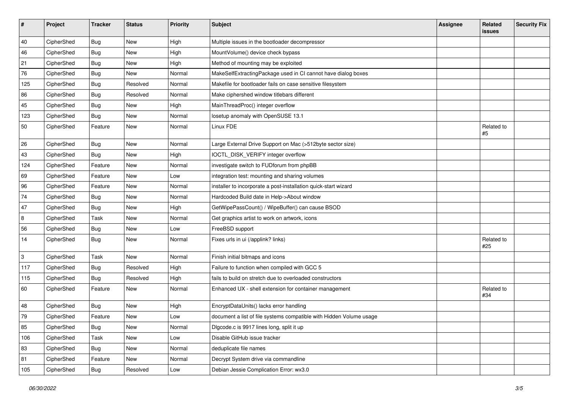| $\vert$ # | Project    | <b>Tracker</b> | <b>Status</b> | <b>Priority</b> | <b>Subject</b>                                                      | <b>Assignee</b> | Related<br>issues | <b>Security Fix</b> |
|-----------|------------|----------------|---------------|-----------------|---------------------------------------------------------------------|-----------------|-------------------|---------------------|
| 40        | CipherShed | Bug            | <b>New</b>    | High            | Multiple issues in the bootloader decompressor                      |                 |                   |                     |
| 46        | CipherShed | <b>Bug</b>     | New           | High            | MountVolume() device check bypass                                   |                 |                   |                     |
| 21        | CipherShed | <b>Bug</b>     | New           | High            | Method of mounting may be exploited                                 |                 |                   |                     |
| 76        | CipherShed | Bug            | New           | Normal          | MakeSelfExtractingPackage used in CI cannot have dialog boxes       |                 |                   |                     |
| 125       | CipherShed | <b>Bug</b>     | Resolved      | Normal          | Makefile for bootloader fails on case sensitive filesystem          |                 |                   |                     |
| 86        | CipherShed | Bug            | Resolved      | Normal          | Make ciphershed window titlebars different                          |                 |                   |                     |
| 45        | CipherShed | <b>Bug</b>     | New           | High            | MainThreadProc() integer overflow                                   |                 |                   |                     |
| 123       | CipherShed | Bug            | New           | Normal          | losetup anomaly with OpenSUSE 13.1                                  |                 |                   |                     |
| 50        | CipherShed | Feature        | New           | Normal          | Linux FDE                                                           |                 | Related to<br>#5  |                     |
| 26        | CipherShed | Bug            | New           | Normal          | Large External Drive Support on Mac (>512byte sector size)          |                 |                   |                     |
| 43        | CipherShed | Bug            | New           | High            | IOCTL_DISK_VERIFY integer overflow                                  |                 |                   |                     |
| 124       | CipherShed | Feature        | New           | Normal          | investigate switch to FUDforum from phpBB                           |                 |                   |                     |
| 69        | CipherShed | Feature        | New           | Low             | integration test: mounting and sharing volumes                      |                 |                   |                     |
| 96        | CipherShed | Feature        | New           | Normal          | installer to incorporate a post-installation quick-start wizard     |                 |                   |                     |
| 74        | CipherShed | <b>Bug</b>     | New           | Normal          | Hardcoded Build date in Help->About window                          |                 |                   |                     |
| 47        | CipherShed | Bug            | New           | High            | GetWipePassCount() / WipeBuffer() can cause BSOD                    |                 |                   |                     |
| 8         | CipherShed | Task           | New           | Normal          | Get graphics artist to work on artwork, icons                       |                 |                   |                     |
| 56        | CipherShed | <b>Bug</b>     | New           | Low             | FreeBSD support                                                     |                 |                   |                     |
| 14        | CipherShed | <b>Bug</b>     | New           | Normal          | Fixes urls in ui (/applink? links)                                  |                 | Related to<br>#25 |                     |
| 3         | CipherShed | Task           | New           | Normal          | Finish initial bitmaps and icons                                    |                 |                   |                     |
| 117       | CipherShed | <b>Bug</b>     | Resolved      | High            | Failure to function when compiled with GCC 5                        |                 |                   |                     |
| 115       | CipherShed | Bug            | Resolved      | High            | fails to build on stretch due to overloaded constructors            |                 |                   |                     |
| 60        | CipherShed | Feature        | New           | Normal          | Enhanced UX - shell extension for container management              |                 | Related to<br>#34 |                     |
| 48        | CipherShed | Bug            | New           | High            | EncryptDataUnits() lacks error handling                             |                 |                   |                     |
| 79        | CipherShed | Feature        | <b>New</b>    | Low             | document a list of file systems compatible with Hidden Volume usage |                 |                   |                     |
| 85        | CipherShed | <b>Bug</b>     | New           | Normal          | Digcode.c is 9917 lines long, split it up                           |                 |                   |                     |
| 106       | CipherShed | Task           | New           | Low             | Disable GitHub issue tracker                                        |                 |                   |                     |
| 83        | CipherShed | <b>Bug</b>     | New           | Normal          | deduplicate file names                                              |                 |                   |                     |
| 81        | CipherShed | Feature        | New           | Normal          | Decrypt System drive via commandline                                |                 |                   |                     |
| 105       | CipherShed | <b>Bug</b>     | Resolved      | Low             | Debian Jessie Complication Error: wx3.0                             |                 |                   |                     |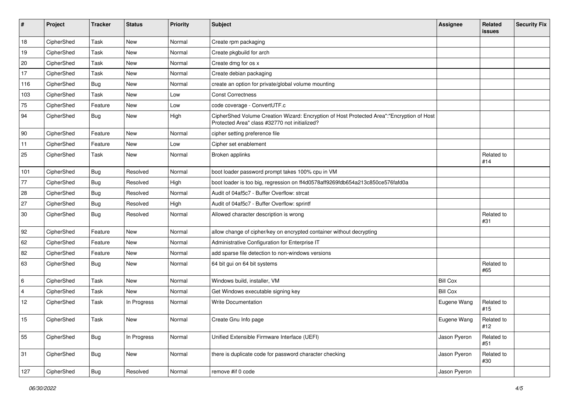| #              | Project    | <b>Tracker</b> | <b>Status</b> | Priority | Subject                                                                                                                                    | <b>Assignee</b> | Related<br><b>issues</b> | <b>Security Fix</b> |
|----------------|------------|----------------|---------------|----------|--------------------------------------------------------------------------------------------------------------------------------------------|-----------------|--------------------------|---------------------|
| 18             | CipherShed | Task           | <b>New</b>    | Normal   | Create rpm packaging                                                                                                                       |                 |                          |                     |
| 19             | CipherShed | Task           | <b>New</b>    | Normal   | Create pkgbuild for arch                                                                                                                   |                 |                          |                     |
| 20             | CipherShed | Task           | New           | Normal   | Create dmg for os x                                                                                                                        |                 |                          |                     |
| 17             | CipherShed | Task           | <b>New</b>    | Normal   | Create debian packaging                                                                                                                    |                 |                          |                     |
| 116            | CipherShed | <b>Bug</b>     | New           | Normal   | create an option for private/global volume mounting                                                                                        |                 |                          |                     |
| 103            | CipherShed | Task           | New           | Low      | <b>Const Correctness</b>                                                                                                                   |                 |                          |                     |
| 75             | CipherShed | Feature        | New           | Low      | code coverage - ConvertUTF.c                                                                                                               |                 |                          |                     |
| 94             | CipherShed | <b>Bug</b>     | New           | High     | CipherShed Volume Creation Wizard: Encryption of Host Protected Area":"Encryption of Host<br>Protected Area" class #32770 not initialized? |                 |                          |                     |
| 90             | CipherShed | Feature        | <b>New</b>    | Normal   | cipher setting preference file                                                                                                             |                 |                          |                     |
| 11             | CipherShed | Feature        | <b>New</b>    | Low      | Cipher set enablement                                                                                                                      |                 |                          |                     |
| 25             | CipherShed | Task           | New           | Normal   | Broken applinks                                                                                                                            |                 | Related to<br>#14        |                     |
| 101            | CipherShed | <b>Bug</b>     | Resolved      | Normal   | boot loader password prompt takes 100% cpu in VM                                                                                           |                 |                          |                     |
| 77             | CipherShed | <b>Bug</b>     | Resolved      | High     | boot loader is too big, regression on ff4d0578aff9269fdb654a213c850ce576fafd0a                                                             |                 |                          |                     |
| 28             | CipherShed | Bug            | Resolved      | Normal   | Audit of 04af5c7 - Buffer Overflow: strcat                                                                                                 |                 |                          |                     |
| 27             | CipherShed | <b>Bug</b>     | Resolved      | High     | Audit of 04af5c7 - Buffer Overflow: sprintf                                                                                                |                 |                          |                     |
| 30             | CipherShed | Bug            | Resolved      | Normal   | Allowed character description is wrong                                                                                                     |                 | Related to<br>#31        |                     |
| 92             | CipherShed | Feature        | New           | Normal   | allow change of cipher/key on encrypted container without decrypting                                                                       |                 |                          |                     |
| 62             | CipherShed | Feature        | New           | Normal   | Administrative Configuration for Enterprise IT                                                                                             |                 |                          |                     |
| 82             | CipherShed | Feature        | New           | Normal   | add sparse file detection to non-windows versions                                                                                          |                 |                          |                     |
| 63             | CipherShed | Bug            | New           | Normal   | 64 bit gui on 64 bit systems                                                                                                               |                 | Related to<br>#65        |                     |
| 6              | CipherShed | Task           | New           | Normal   | Windows build, installer, VM                                                                                                               | <b>Bill Cox</b> |                          |                     |
| $\overline{4}$ | CipherShed | Task           | New           | Normal   | Get Windows executable signing key                                                                                                         | <b>Bill Cox</b> |                          |                     |
| 12             | CipherShed | Task           | In Progress   | Normal   | <b>Write Documentation</b>                                                                                                                 | Eugene Wang     | Related to<br>#15        |                     |
| 15             | CipherShed | Task           | <b>New</b>    | Normal   | Create Gnu Info page                                                                                                                       | Eugene Wang     | Related to<br>#12        |                     |
| 55             | CipherShed | <b>Bug</b>     | In Progress   | Normal   | Unified Extensible Firmware Interface (UEFI)                                                                                               | Jason Pyeron    | Related to<br>#51        |                     |
| 31             | CipherShed | <b>Bug</b>     | New           | Normal   | there is duplicate code for password character checking                                                                                    | Jason Pyeron    | Related to<br>#30        |                     |
| 127            | CipherShed | Bug            | Resolved      | Normal   | remove #if 0 code                                                                                                                          | Jason Pyeron    |                          |                     |